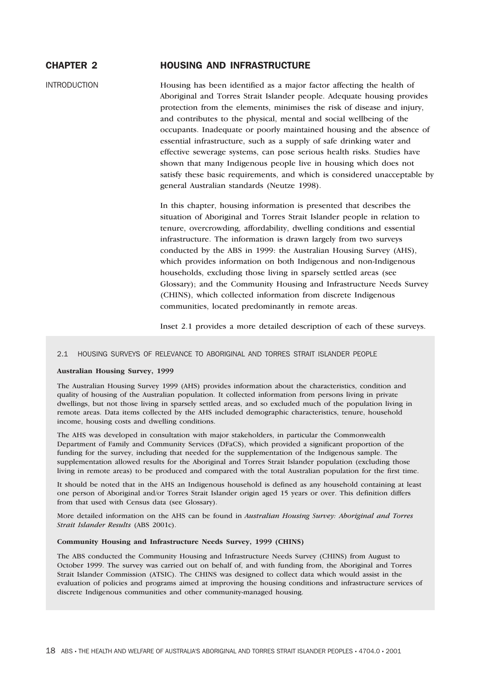# CHAPTER 2 HOUSING AND INFRASTRUCTURE

INTRODUCTION Housing has been identified as a major factor affecting the health of Aboriginal and Torres Strait Islander people. Adequate housing provides protection from the elements, minimises the risk of disease and injury, and contributes to the physical, mental and social wellbeing of the occupants. Inadequate or poorly maintained housing and the absence of essential infrastructure, such as a supply of safe drinking water and effective sewerage systems, can pose serious health risks. Studies have shown that many Indigenous people live in housing which does not satisfy these basic requirements, and which is considered unacceptable by general Australian standards (Neutze 1998).

> In this chapter, housing information is presented that describes the situation of Aboriginal and Torres Strait Islander people in relation to tenure, overcrowding, affordability, dwelling conditions and essential infrastructure. The information is drawn largely from two surveys conducted by the ABS in 1999: the Australian Housing Survey (AHS), which provides information on both Indigenous and non-Indigenous households, excluding those living in sparsely settled areas (see Glossary); and the Community Housing and Infrastructure Needs Survey (CHINS), which collected information from discrete Indigenous communities, located predominantly in remote areas.

Inset 2.1 provides a more detailed description of each of these surveys.

## 2.1 HOUSING SURVEYS OF RELEVANCE TO ABORIGINAL AND TORRES STRAIT ISLANDER PEOPLE

## **Australian Housing Survey, 1999**

The Australian Housing Survey 1999 (AHS) provides information about the characteristics, condition and quality of housing of the Australian population. It collected information from persons living in private dwellings, but not those living in sparsely settled areas, and so excluded much of the population living in remote areas. Data items collected by the AHS included demographic characteristics, tenure, household income, housing costs and dwelling conditions.

The AHS was developed in consultation with major stakeholders, in particular the Commonwealth Department of Family and Community Services (DFaCS), which provided a significant proportion of the funding for the survey, including that needed for the supplementation of the Indigenous sample. The supplementation allowed results for the Aboriginal and Torres Strait Islander population (excluding those living in remote areas) to be produced and compared with the total Australian population for the first time.

It should be noted that in the AHS an Indigenous household is defined as any household containing at least one person of Aboriginal and/or Torres Strait Islander origin aged 15 years or over. This definition differs from that used with Census data (see Glossary).

More detailed information on the AHS can be found in *Australian Housing Survey: Aboriginal and Torres Strait Islander Results* (ABS 2001c).

### **Community Housing and Infrastructure Needs Survey, 1999 (CHINS)**

The ABS conducted the Community Housing and Infrastructure Needs Survey (CHINS) from August to October 1999. The survey was carried out on behalf of, and with funding from, the Aboriginal and Torres Strait Islander Commission (ATSIC). The CHINS was designed to collect data which would assist in the evaluation of policies and programs aimed at improving the housing conditions and infrastructure services of discrete Indigenous communities and other community-managed housing.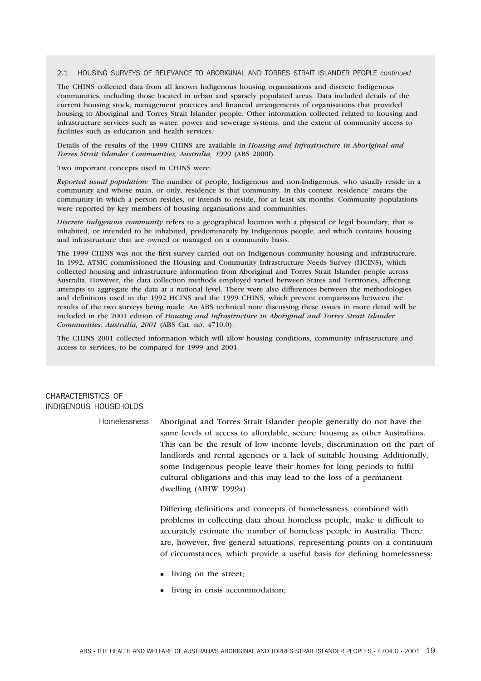## 2.1 HOUSING SURVEYS OF RELEVANCE TO ABORIGINAL AND TORRES STRAIT ISLANDER PEOPLE *continued*

The CHINS collected data from all known Indigenous housing organisations and discrete Indigenous communities, including those located in urban and sparsely populated areas. Data included details of the current housing stock, management practices and financial arrangements of organisations that provided housing to Aboriginal and Torres Strait Islander people. Other information collected related to housing and infrastructure services such as water, power and sewerage systems, and the extent of community access to facilities such as education and health services.

Details of the results of the 1999 CHINS are available in *Housing and Infrastructure in Aboriginal and Torres Strait Islander Communities, Australia, 1999* (ABS 2000f).

#### Two important concepts used in CHINS were:

*Reported usual population:* The number of people, Indigenous and non-Indigenous, who usually reside in a community and whose main, or only, residence is that community. In this context 'residence' means the community in which a person resides, or intends to reside, for at least six months. Community populations were reported by key members of housing organisations and communities.

*Discrete Indigenous community* refers to a geographical location with a physical or legal boundary, that is inhabited, or intended to be inhabited, predominantly by Indigenous people, and which contains housing and infrastructure that are owned or managed on a community basis.

The 1999 CHINS was not the first survey carried out on Indigenous community housing and infrastructure. In 1992, ATSIC commissioned the Housing and Community Infrastructure Needs Survey (HCINS), which collected housing and infrastructure information from Aboriginal and Torres Strait Islander people across Australia. However, the data collection methods employed varied between States and Territories, affecting attempts to aggregate the data at a national level. There were also differences between the methodologies and definitions used in the 1992 HCINS and the 1999 CHINS, which prevent comparisons between the results of the two surveys being made. An ABS technical note discussing these issues in more detail will be included in the 2001 edition of *Housing and Infrastructure in Aboriginal and Torres Strait Islander Communities, Australia, 2001* (ABS Cat. no. 4710.0).

The CHINS 2001 collected information which will allow housing conditions, community infrastructure and access to services, to be compared for 1999 and 2001.

## CHARACTERISTICS OF INDIGENOUS HOUSEHOLDS

Homelessness Aboriginal and Torres Strait Islander people generally do not have the same levels of access to affordable, secure housing as other Australians. This can be the result of low income levels, discrimination on the part of landlords and rental agencies or a lack of suitable housing. Additionally, some Indigenous people leave their homes for long periods to fulfil cultural obligations and this may lead to the loss of a permanent dwelling (AIHW 1999a).

> Differing definitions and concepts of homelessness, combined with problems in collecting data about homeless people, make it difficult to accurately estimate the number of homeless people in Australia. There are, however, five general situations, representing points on a continuum of circumstances, which provide a useful basis for defining homelessness:

- **I** living on the street;
- living in crisis accommodation;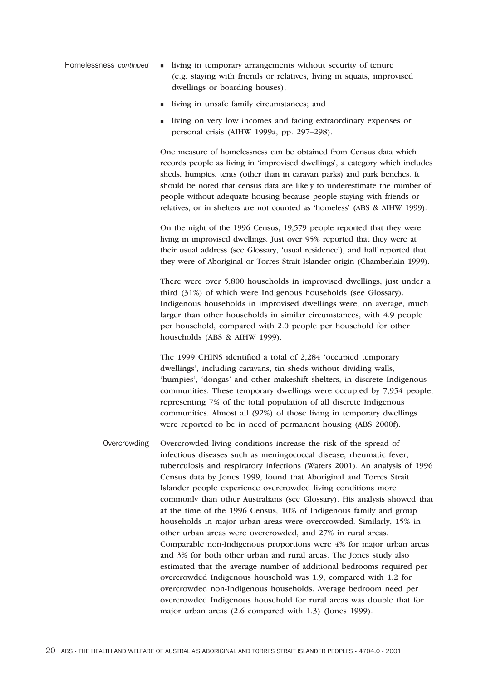- Homelessness *continued* -**I** living in temporary arrangements without security of tenure (e.g. staying with friends or relatives, living in squats, improvised dwellings or boarding houses);
	- living in unsafe family circumstances; and
	- living on very low incomes and facing extraordinary expenses or personal crisis (AIHW 1999a, pp. 297–298).

One measure of homelessness can be obtained from Census data which records people as living in 'improvised dwellings', a category which includes sheds, humpies, tents (other than in caravan parks) and park benches. It should be noted that census data are likely to underestimate the number of people without adequate housing because people staying with friends or relatives, or in shelters are not counted as 'homeless' (ABS & AIHW 1999).

On the night of the 1996 Census, 19,579 people reported that they were living in improvised dwellings. Just over 95% reported that they were at their usual address (see Glossary, 'usual residence'), and half reported that they were of Aboriginal or Torres Strait Islander origin (Chamberlain 1999).

There were over 5,800 households in improvised dwellings, just under a third (31%) of which were Indigenous households (see Glossary). Indigenous households in improvised dwellings were, on average, much larger than other households in similar circumstances, with 4.9 people per household, compared with 2.0 people per household for other households (ABS & AIHW 1999).

The 1999 CHINS identified a total of 2,284 'occupied temporary dwellings', including caravans, tin sheds without dividing walls, 'humpies', 'dongas' and other makeshift shelters, in discrete Indigenous communities. These temporary dwellings were occupied by 7,954 people, representing 7% of the total population of all discrete Indigenous communities. Almost all (92%) of those living in temporary dwellings were reported to be in need of permanent housing (ABS 2000f).

Overcrowding Overcrowded living conditions increase the risk of the spread of infectious diseases such as meningococcal disease, rheumatic fever, tuberculosis and respiratory infections (Waters 2001). An analysis of 1996 Census data by Jones 1999, found that Aboriginal and Torres Strait Islander people experience overcrowded living conditions more commonly than other Australians (see Glossary). His analysis showed that at the time of the 1996 Census, 10% of Indigenous family and group households in major urban areas were overcrowded. Similarly, 15% in other urban areas were overcrowded, and 27% in rural areas. Comparable non-Indigenous proportions were 4% for major urban areas and 3% for both other urban and rural areas. The Jones study also estimated that the average number of additional bedrooms required per overcrowded Indigenous household was 1.9, compared with 1.2 for overcrowded non-Indigenous households. Average bedroom need per overcrowded Indigenous household for rural areas was double that for major urban areas (2.6 compared with 1.3) (Jones 1999).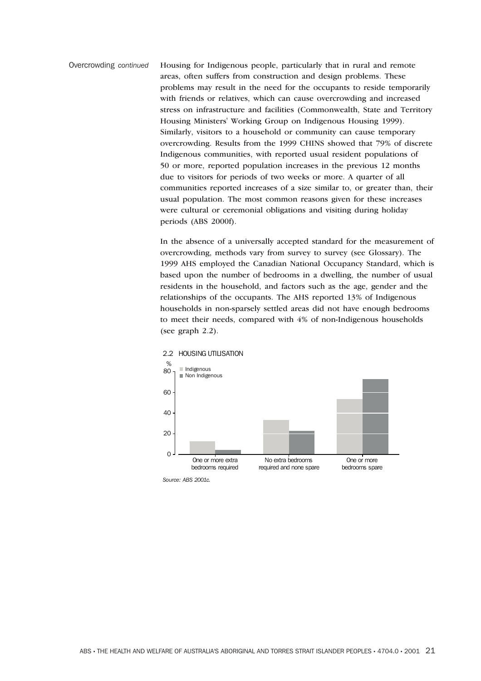Overcrowding *continued* Housing for Indigenous people, particularly that in rural and remote areas, often suffers from construction and design problems. These problems may result in the need for the occupants to reside temporarily with friends or relatives, which can cause overcrowding and increased stress on infrastructure and facilities (Commonwealth, State and Territory Housing Ministers' Working Group on Indigenous Housing 1999). Similarly, visitors to a household or community can cause temporary overcrowding. Results from the 1999 CHINS showed that 79% of discrete Indigenous communities, with reported usual resident populations of 50 or more, reported population increases in the previous 12 months due to visitors for periods of two weeks or more. A quarter of all communities reported increases of a size similar to, or greater than, their usual population. The most common reasons given for these increases were cultural or ceremonial obligations and visiting during holiday periods (ABS 2000f).

> In the absence of a universally accepted standard for the measurement of overcrowding, methods vary from survey to survey (see Glossary). The 1999 AHS employed the Canadian National Occupancy Standard, which is based upon the number of bedrooms in a dwelling, the number of usual residents in the household, and factors such as the age, gender and the relationships of the occupants. The AHS reported 13% of Indigenous households in non-sparsely settled areas did not have enough bedrooms to meet their needs, compared with 4% of non-Indigenous households (see graph 2.2).



2.2 HOUSING UTILISATION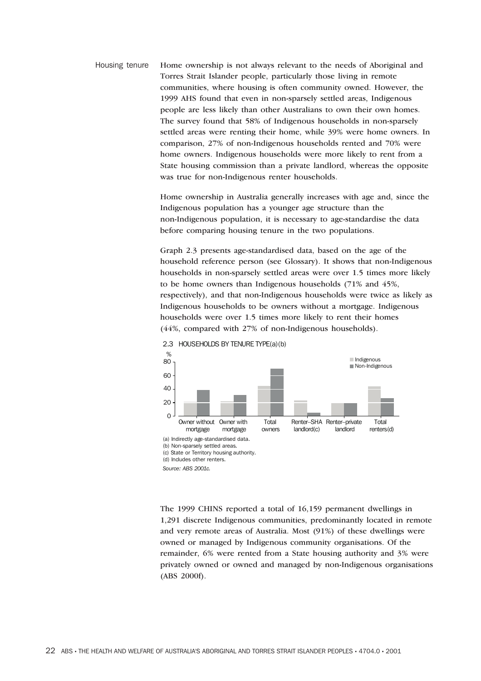Housing tenure Home ownership is not always relevant to the needs of Aboriginal and Torres Strait Islander people, particularly those living in remote communities, where housing is often community owned. However, the 1999 AHS found that even in non-sparsely settled areas, Indigenous people are less likely than other Australians to own their own homes. The survey found that 58% of Indigenous households in non-sparsely settled areas were renting their home, while 39% were home owners. In comparison, 27% of non-Indigenous households rented and 70% were home owners. Indigenous households were more likely to rent from a State housing commission than a private landlord, whereas the opposite was true for non-Indigenous renter households.

> Home ownership in Australia generally increases with age and, since the Indigenous population has a younger age structure than the non-Indigenous population, it is necessary to age-standardise the data before comparing housing tenure in the two populations.

Graph 2.3 presents age-standardised data, based on the age of the household reference person (see Glossary). It shows that non-Indigenous households in non-sparsely settled areas were over 1.5 times more likely to be home owners than Indigenous households (71% and 45%, respectively), and that non-Indigenous households were twice as likely as Indigenous households to be owners without a mortgage. Indigenous households were over 1.5 times more likely to rent their homes (44%, compared with 27% of non-Indigenous households).



2.3 HOUSEHOLDS BY TENURE TYPE(a)(b)

The 1999 CHINS reported a total of 16,159 permanent dwellings in 1,291 discrete Indigenous communities, predominantly located in remote and very remote areas of Australia. Most (91%) of these dwellings were owned or managed by Indigenous community organisations. Of the remainder, 6% were rented from a State housing authority and 3% were privately owned or owned and managed by non-Indigenous organisations (ABS 2000f).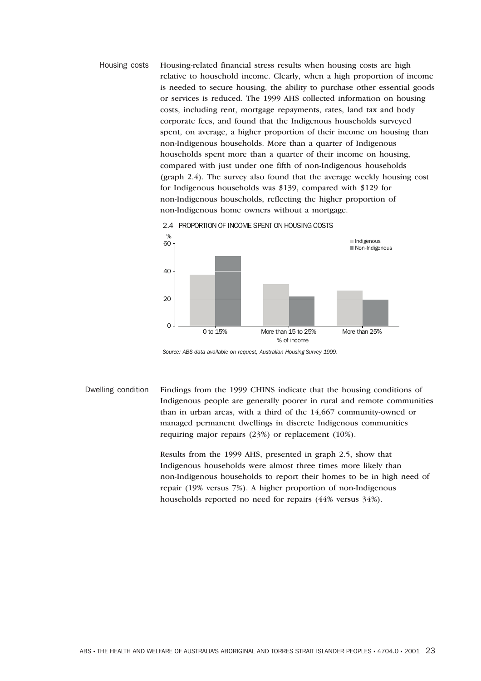Housing costs Housing-related financial stress results when housing costs are high relative to household income. Clearly, when a high proportion of income is needed to secure housing, the ability to purchase other essential goods or services is reduced. The 1999 AHS collected information on housing costs, including rent, mortgage repayments, rates, land tax and body corporate fees, and found that the Indigenous households surveyed spent, on average, a higher proportion of their income on housing than non-Indigenous households. More than a quarter of Indigenous households spent more than a quarter of their income on housing, compared with just under one fifth of non-Indigenous households (graph 2.4). The survey also found that the average weekly housing cost for Indigenous households was \$139, compared with \$129 for non-Indigenous households, reflecting the higher proportion of non-Indigenous home owners without a mortgage.





*Source: ABS data available on request, Australian Housing Survey 1999.*

Dwelling condition Findings from the 1999 CHINS indicate that the housing conditions of Indigenous people are generally poorer in rural and remote communities than in urban areas, with a third of the 14,667 community-owned or managed permanent dwellings in discrete Indigenous communities requiring major repairs (23%) or replacement (10%).

> Results from the 1999 AHS, presented in graph 2.5, show that Indigenous households were almost three times more likely than non-Indigenous households to report their homes to be in high need of repair (19% versus 7%). A higher proportion of non-Indigenous households reported no need for repairs (44% versus 34%).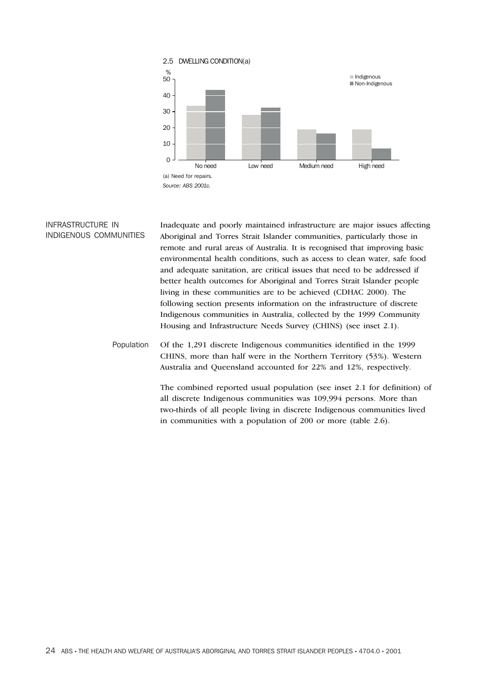

## INFRASTRUCTURE IN INDIGENOUS COMMUNITIES Inadequate and poorly maintained infrastructure are major issues affecting Aboriginal and Torres Strait Islander communities, particularly those in remote and rural areas of Australia. It is recognised that improving basic environmental health conditions, such as access to clean water, safe food and adequate sanitation, are critical issues that need to be addressed if better health outcomes for Aboriginal and Torres Strait Islander people living in these communities are to be achieved (CDHAC 2000). The following section presents information on the infrastructure of discrete Indigenous communities in Australia, collected by the 1999 Community Housing and Infrastructure Needs Survey (CHINS) (see inset 2.1).

Population Of the 1,291 discrete Indigenous communities identified in the 1999 CHINS, more than half were in the Northern Territory (53%). Western Australia and Queensland accounted for 22% and 12%, respectively.

> The combined reported usual population (see inset 2.1 for definition) of all discrete Indigenous communities was 109,994 persons. More than two-thirds of all people living in discrete Indigenous communities lived in communities with a population of 200 or more (table 2.6).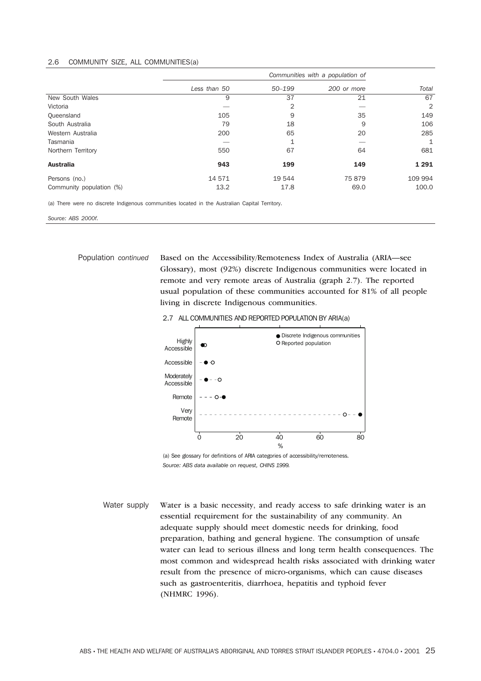## 2.6 COMMUNITY SIZE, ALL COMMUNITIES(a)

|                          | Communities with a population of |            |             |         |
|--------------------------|----------------------------------|------------|-------------|---------|
|                          | Less than 50                     | $50 - 199$ | 200 or more | Total   |
| New South Wales          | 9                                | 37         | 21          | 67      |
| Victoria                 |                                  | 2          |             | 2       |
| Queensland               | 105                              | 9          | 35          | 149     |
| South Australia          | 79                               | 18         | 9           | 106     |
| Western Australia        | 200                              | 65         | 20          | 285     |
| Tasmania                 |                                  |            |             | 1       |
| Northern Territory       | 550                              | 67         | 64          | 681     |
| <b>Australia</b>         | 943                              | 199        | 149         | 1 2 9 1 |
| Persons (no.)            | 14 571                           | 19 544     | 75879       | 109 994 |
| Community population (%) | 13.2                             | 17.8       | 69.0        | 100.0   |

(a) There were no discrete Indigenous communities located in the Australian Capital Territory.

*Source: ABS 2000f.*

Population *continued* Based on the Accessibility/Remoteness Index of Australia (ARIA—see Glossary), most (92%) discrete Indigenous communities were located in remote and very remote areas of Australia (graph 2.7). The reported usual population of these communities accounted for 81% of all people living in discrete Indigenous communities.





(a) See glossary for definitions of ARIA categories of accessibility/remoteness. *Source: ABS data available on request, CHINS 1999.*

Water supply Water is a basic necessity, and ready access to safe drinking water is an essential requirement for the sustainability of any community. An adequate supply should meet domestic needs for drinking, food preparation, bathing and general hygiene. The consumption of unsafe water can lead to serious illness and long term health consequences. The most common and widespread health risks associated with drinking water result from the presence of micro-organisms, which can cause diseases such as gastroenteritis, diarrhoea, hepatitis and typhoid fever (NHMRC 1996).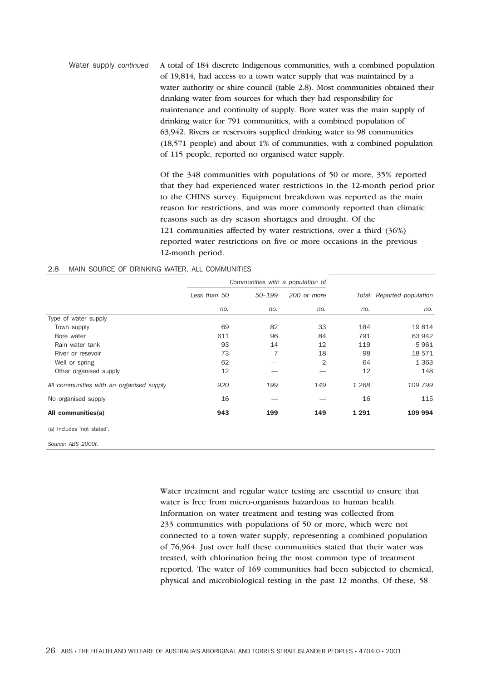Water supply *continued* A total of 184 discrete Indigenous communities, with a combined population of 19,814, had access to a town water supply that was maintained by a water authority or shire council (table 2.8). Most communities obtained their drinking water from sources for which they had responsibility for maintenance and continuity of supply. Bore water was the main supply of drinking water for 791 communities, with a combined population of 63,942. Rivers or reservoirs supplied drinking water to 98 communities (18,571 people) and about 1% of communities, with a combined population of 115 people, reported no organised water supply.

> Of the 348 communities with populations of 50 or more, 35% reported that they had experienced water restrictions in the 12-month period prior to the CHINS survey. Equipment breakdown was reported as the main reason for restrictions, and was more commonly reported than climatic reasons such as dry season shortages and drought. Of the 121 communities affected by water restrictions, over a third (36%) reported water restrictions on five or more occasions in the previous 12-month period.

## 2.8 MAIN SOURCE OF DRINKING WATER, ALL COMMUNITIES

|                                          | Communities with a population of |            |             |         |                     |
|------------------------------------------|----------------------------------|------------|-------------|---------|---------------------|
|                                          | Less than 50                     | $50 - 199$ | 200 or more | Total   | Reported population |
|                                          | no.                              | no.        | no.         | no.     | no.                 |
| Type of water supply                     |                                  |            |             |         |                     |
| Town supply                              | 69                               | 82         | 33          | 184     | 19814               |
| Bore water                               | 611                              | 96         | 84          | 791     | 63 942              |
| Rain water tank                          | 93                               | 14         | 12          | 119     | 5961                |
| River or resevoir                        | 73                               | 7          | 18          | 98      | 18 571              |
| Well or spring                           | 62                               |            | 2           | 64      | 1 3 6 3             |
| Other organised supply                   | 12                               |            |             | 12      | 148                 |
| All communities with an organised supply | 920                              | 199        | 149         | 1 2 6 8 | 109 799             |
| No organised supply                      | 16                               |            |             | 16      | 115                 |
| All communities(a)                       | 943                              | 199        | 149         | 1 2 9 1 | 109 994             |
| (a) Includes 'not stated'.               |                                  |            |             |         |                     |

*Source: ABS 2000f.*

Water treatment and regular water testing are essential to ensure that water is free from micro-organisms hazardous to human health. Information on water treatment and testing was collected from 233 communities with populations of 50 or more, which were not connected to a town water supply, representing a combined population of 76,964. Just over half these communities stated that their water was treated, with chlorination being the most common type of treatment reported. The water of 169 communities had been subjected to chemical, physical and microbiological testing in the past 12 months. Of these, 58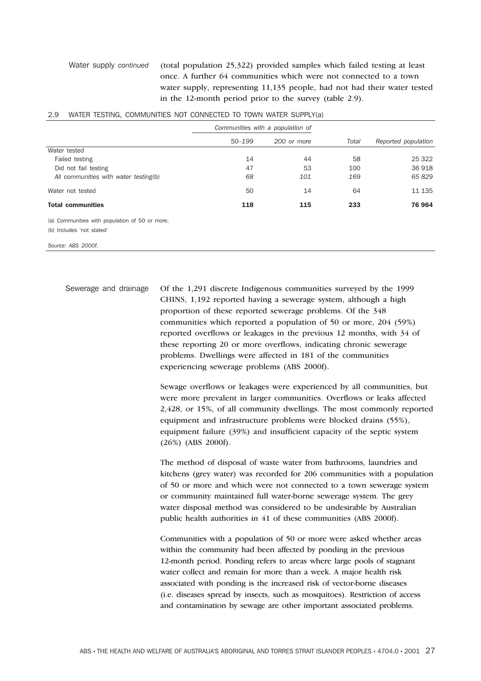Water supply *continued* (total population 25,322) provided samples which failed testing at least once. A further 64 communities which were not connected to a town water supply, representing 11,135 people, had not had their water tested in the 12-month period prior to the survey (table 2.9).

|                                                | Communities with a population of |             |       |                     |
|------------------------------------------------|----------------------------------|-------------|-------|---------------------|
|                                                | $50 - 199$                       | 200 or more | Total | Reported population |
| Water tested                                   |                                  |             |       |                     |
| Failed testing                                 | 14                               | 44          | 58    | 25 322              |
| Did not fail testing                           | 47                               | 53          | 100   | 36 918              |
| All communities with water testing(b)          | 68                               | 101         | 169   | 65 829              |
| Water not tested                               | 50                               | 14          | 64    | 11 135              |
| <b>Total communities</b>                       | 118                              | 115         | 233   | 76 964              |
| (a) Communities with population of 50 or more. |                                  |             |       |                     |
| (b) Includes 'not stated'                      |                                  |             |       |                     |
| Source: ABS 2000f.                             |                                  |             |       |                     |

## 2.9 WATER TESTING, COMMUNITIES NOT CONNECTED TO TOWN WATER SUPPLY(a)

Sewerage and drainage Of the 1,291 discrete Indigenous communities surveyed by the 1999 CHINS, 1,192 reported having a sewerage system, although a high proportion of these reported sewerage problems. Of the 348 communities which reported a population of 50 or more, 204 (59%) reported overflows or leakages in the previous 12 months, with 34 of these reporting 20 or more overflows, indicating chronic sewerage problems. Dwellings were affected in 181 of the communities experiencing sewerage problems (ABS 2000f).

> Sewage overflows or leakages were experienced by all communities, but were more prevalent in larger communities. Overflows or leaks affected 2,428, or 15%, of all community dwellings. The most commonly reported equipment and infrastructure problems were blocked drains (55%), equipment failure (39%) and insufficient capacity of the septic system (26%) (ABS 2000f).

> The method of disposal of waste water from bathrooms, laundries and kitchens (grey water) was recorded for 206 communities with a population of 50 or more and which were not connected to a town sewerage system or community maintained full water-borne sewerage system. The grey water disposal method was considered to be undesirable by Australian public health authorities in 41 of these communities (ABS 2000f).

Communities with a population of 50 or more were asked whether areas within the community had been affected by ponding in the previous 12-month period. Ponding refers to areas where large pools of stagnant water collect and remain for more than a week. A major health risk associated with ponding is the increased risk of vector-borne diseases (i.e. diseases spread by insects, such as mosquitoes). Restriction of access and contamination by sewage are other important associated problems.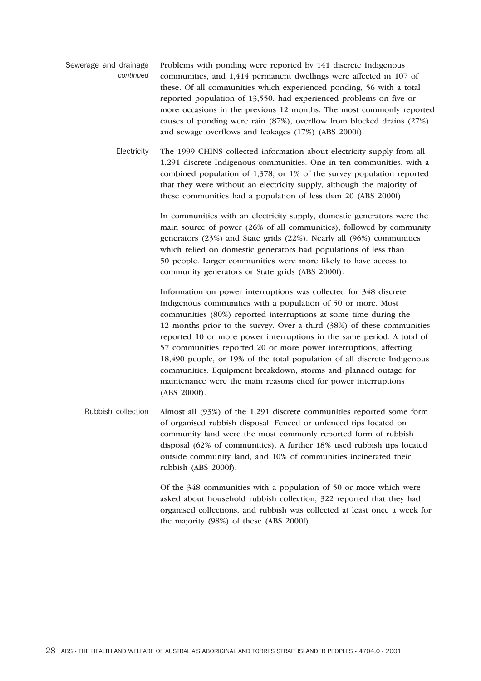- Sewerage and drainage *continued* Problems with ponding were reported by 141 discrete Indigenous communities, and 1,414 permanent dwellings were affected in 107 of these. Of all communities which experienced ponding, 56 with a total reported population of 13,550, had experienced problems on five or more occasions in the previous 12 months. The most commonly reported causes of ponding were rain (87%), overflow from blocked drains (27%) and sewage overflows and leakages (17%) (ABS 2000f).
	- Electricity The 1999 CHINS collected information about electricity supply from all 1,291 discrete Indigenous communities. One in ten communities, with a combined population of 1,378, or 1% of the survey population reported that they were without an electricity supply, although the majority of these communities had a population of less than 20 (ABS 2000f).

In communities with an electricity supply, domestic generators were the main source of power (26% of all communities), followed by community generators (23%) and State grids (22%). Nearly all (96%) communities which relied on domestic generators had populations of less than 50 people. Larger communities were more likely to have access to community generators or State grids (ABS 2000f).

Information on power interruptions was collected for 348 discrete Indigenous communities with a population of 50 or more. Most communities (80%) reported interruptions at some time during the 12 months prior to the survey. Over a third (38%) of these communities reported 10 or more power interruptions in the same period. A total of 57 communities reported 20 or more power interruptions, affecting 18,490 people, or 19% of the total population of all discrete Indigenous communities. Equipment breakdown, storms and planned outage for maintenance were the main reasons cited for power interruptions (ABS 2000f).

Rubbish collection Almost all (93%) of the 1,291 discrete communities reported some form of organised rubbish disposal. Fenced or unfenced tips located on community land were the most commonly reported form of rubbish disposal (62% of communities). A further 18% used rubbish tips located outside community land, and 10% of communities incinerated their rubbish (ABS 2000f).

> Of the 348 communities with a population of 50 or more which were asked about household rubbish collection, 322 reported that they had organised collections, and rubbish was collected at least once a week for the majority (98%) of these (ABS 2000f).